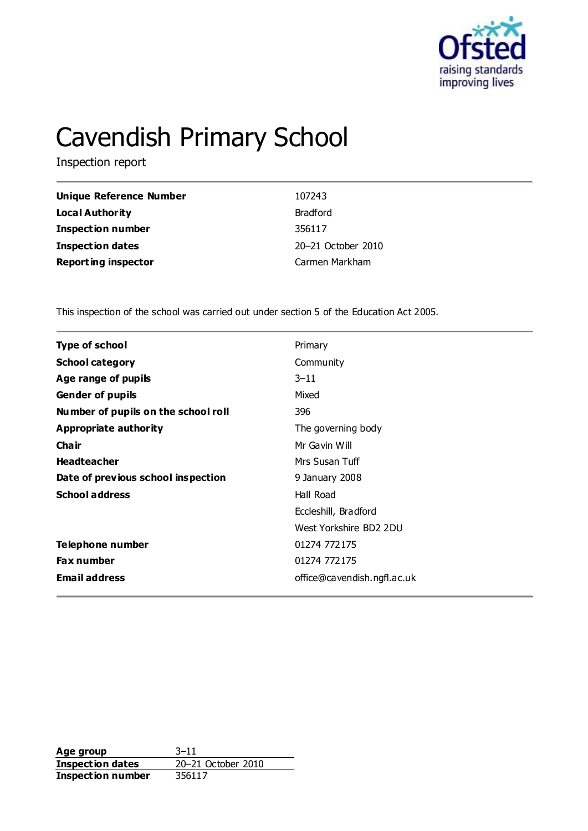

# Cavendish Primary School

Inspection report

| Unique Reference Number    | 107243             |
|----------------------------|--------------------|
| Local Authority            | <b>Bradford</b>    |
| <b>Inspection number</b>   | 356117             |
| <b>Inspection dates</b>    | 20-21 October 2010 |
| <b>Reporting inspector</b> | Carmen Markham     |

This inspection of the school was carried out under section 5 of the Education Act 2005.

| Type of school                      | Primary                     |  |
|-------------------------------------|-----------------------------|--|
| <b>School category</b>              | Community                   |  |
| Age range of pupils                 | $3 - 11$                    |  |
| <b>Gender of pupils</b>             | Mixed                       |  |
| Number of pupils on the school roll | 396                         |  |
| Appropriate authority               | The governing body          |  |
| Cha ir                              | Mr Gavin Will               |  |
| <b>Headteacher</b>                  | Mrs Susan Tuff              |  |
| Date of previous school inspection  | 9 January 2008              |  |
| <b>School address</b>               | Hall Road                   |  |
|                                     | Eccleshill, Bradford        |  |
|                                     | West Yorkshire BD2 2DU      |  |
| Telephone number                    | 01274 772175                |  |
| <b>Fax number</b>                   | 01274 772175                |  |
| <b>Email address</b>                | office@cavendish.ngfl.ac.uk |  |
|                                     |                             |  |

**Age group** 3–11 **Inspection dates** 20–21 October 2010 **Inspection number** 356117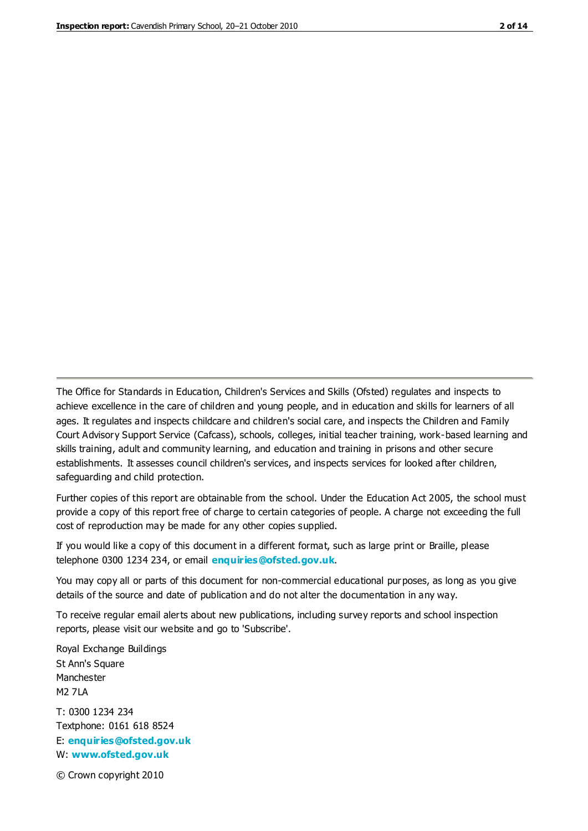The Office for Standards in Education, Children's Services and Skills (Ofsted) regulates and inspects to achieve excellence in the care of children and young people, and in education and skills for learners of all ages. It regulates and inspects childcare and children's social care, and inspects the Children and Family Court Advisory Support Service (Cafcass), schools, colleges, initial teacher training, work-based learning and skills training, adult and community learning, and education and training in prisons and other secure establishments. It assesses council children's services, and inspects services for looked after children, safeguarding and child protection.

Further copies of this report are obtainable from the school. Under the Education Act 2005, the school must provide a copy of this report free of charge to certain categories of people. A charge not exceeding the full cost of reproduction may be made for any other copies supplied.

If you would like a copy of this document in a different format, such as large print or Braille, please telephone 0300 1234 234, or email **[enquiries@ofsted.gov.uk](mailto:enquiries@ofsted.gov.uk)**.

You may copy all or parts of this document for non-commercial educational purposes, as long as you give details of the source and date of publication and do not alter the documentation in any way.

To receive regular email alerts about new publications, including survey reports and school inspection reports, please visit our website and go to 'Subscribe'.

Royal Exchange Buildings St Ann's Square Manchester M2 7LA T: 0300 1234 234 Textphone: 0161 618 8524 E: **[enquiries@ofsted.gov.uk](mailto:enquiries@ofsted.gov.uk)**

W: **[www.ofsted.gov.uk](http://www.ofsted.gov.uk/)**

© Crown copyright 2010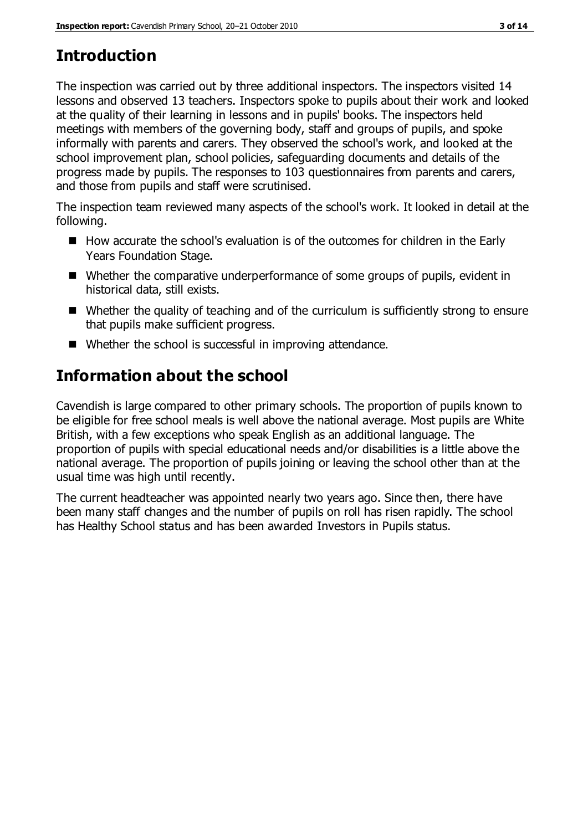# **Introduction**

The inspection was carried out by three additional inspectors. The inspectors visited 14 lessons and observed 13 teachers. Inspectors spoke to pupils about their work and looked at the quality of their learning in lessons and in pupils' books. The inspectors held meetings with members of the governing body, staff and groups of pupils, and spoke informally with parents and carers. They observed the school's work, and looked at the school improvement plan, school policies, safeguarding documents and details of the progress made by pupils. The responses to 103 questionnaires from parents and carers, and those from pupils and staff were scrutinised.

The inspection team reviewed many aspects of the school's work. It looked in detail at the following.

- How accurate the school's evaluation is of the outcomes for children in the Early Years Foundation Stage.
- Whether the comparative underperformance of some groups of pupils, evident in historical data, still exists.
- Whether the quality of teaching and of the curriculum is sufficiently strong to ensure that pupils make sufficient progress.
- Whether the school is successful in improving attendance.

# **Information about the school**

Cavendish is large compared to other primary schools. The proportion of pupils known to be eligible for free school meals is well above the national average. Most pupils are White British, with a few exceptions who speak English as an additional language. The proportion of pupils with special educational needs and/or disabilities is a little above the national average. The proportion of pupils joining or leaving the school other than at the usual time was high until recently.

The current headteacher was appointed nearly two years ago. Since then, there have been many staff changes and the number of pupils on roll has risen rapidly. The school has Healthy School status and has been awarded Investors in Pupils status.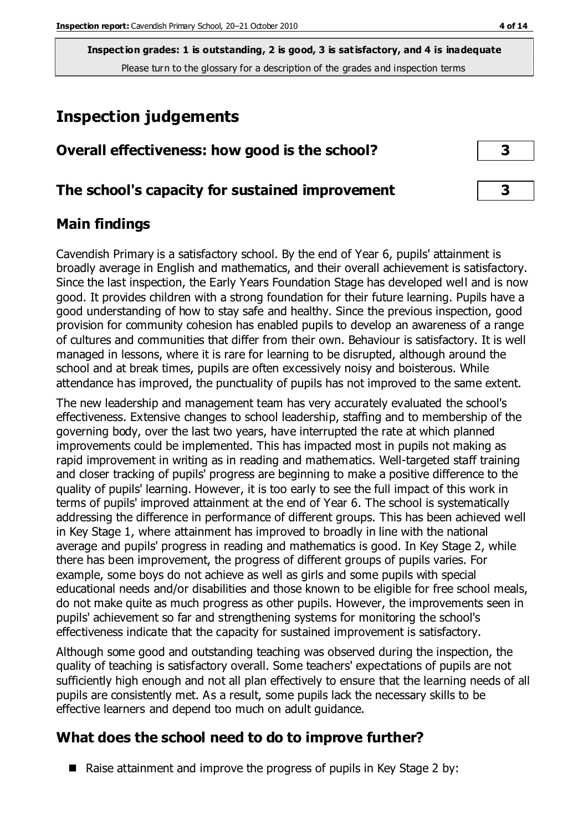# **Inspection judgements**

| Overall effectiveness: how good is the school? |  |
|------------------------------------------------|--|
|------------------------------------------------|--|

# **The school's capacity for sustained improvement 3**

# **Main findings**

Cavendish Primary is a satisfactory school. By the end of Year 6, pupils' attainment is broadly average in English and mathematics, and their overall achievement is satisfactory. Since the last inspection, the Early Years Foundation Stage has developed well and is now good. It provides children with a strong foundation for their future learning. Pupils have a good understanding of how to stay safe and healthy. Since the previous inspection, good provision for community cohesion has enabled pupils to develop an awareness of a range of cultures and communities that differ from their own. Behaviour is satisfactory. It is well managed in lessons, where it is rare for learning to be disrupted, although around the school and at break times, pupils are often excessively noisy and boisterous. While attendance has improved, the punctuality of pupils has not improved to the same extent.

The new leadership and management team has very accurately evaluated the school's effectiveness. Extensive changes to school leadership, staffing and to membership of the governing body, over the last two years, have interrupted the rate at which planned improvements could be implemented. This has impacted most in pupils not making as rapid improvement in writing as in reading and mathematics. Well-targeted staff training and closer tracking of pupils' progress are beginning to make a positive difference to the quality of pupils' learning. However, it is too early to see the full impact of this work in terms of pupils' improved attainment at the end of Year 6. The school is systematically addressing the difference in performance of different groups. This has been achieved well in Key Stage 1, where attainment has improved to broadly in line with the national average and pupils' progress in reading and mathematics is good. In Key Stage 2, while there has been improvement, the progress of different groups of pupils varies. For example, some boys do not achieve as well as girls and some pupils with special educational needs and/or disabilities and those known to be eligible for free school meals, do not make quite as much progress as other pupils. However, the improvements seen in pupils' achievement so far and strengthening systems for monitoring the school's effectiveness indicate that the capacity for sustained improvement is satisfactory.

Although some good and outstanding teaching was observed during the inspection, the quality of teaching is satisfactory overall. Some teachers' expectations of pupils are not sufficiently high enough and not all plan effectively to ensure that the learning needs of all pupils are consistently met. As a result, some pupils lack the necessary skills to be effective learners and depend too much on adult guidance.

# **What does the school need to do to improve further?**

 $\blacksquare$  Raise attainment and improve the progress of pupils in Key Stage 2 by: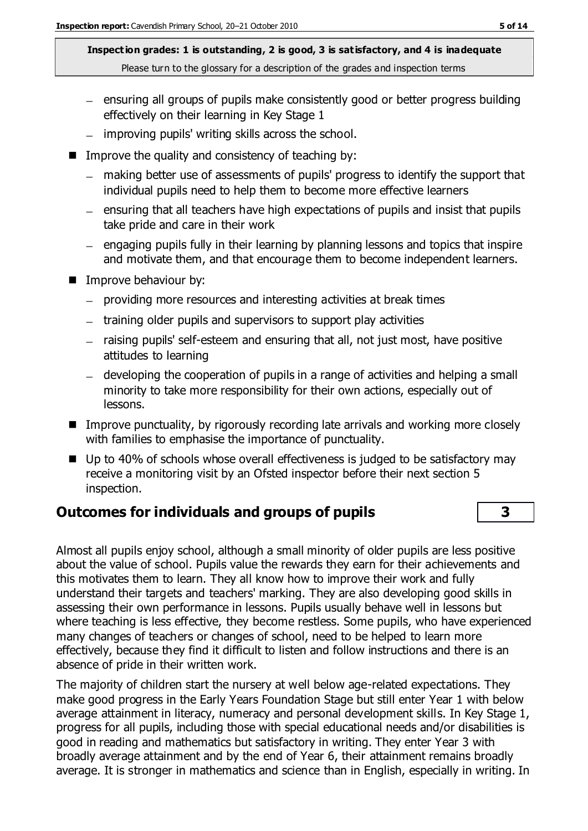- ensuring all groups of pupils make consistently good or better progress building effectively on their learning in Key Stage 1
- $-$  improving pupils' writing skills across the school.
- $\blacksquare$  Improve the quality and consistency of teaching by:
	- making better use of assessments of pupils' progress to identify the support that individual pupils need to help them to become more effective learners
	- ensuring that all teachers have high expectations of pupils and insist that pupils take pride and care in their work
	- engaging pupils fully in their learning by planning lessons and topics that inspire and motivate them, and that encourage them to become independent learners.
- **IMPROVE behaviour by:** 
	- providing more resources and interesting activities at break times
	- training older pupils and supervisors to support play activities
	- raising pupils' self-esteem and ensuring that all, not just most, have positive attitudes to learning
	- developing the cooperation of pupils in a range of activities and helping a small minority to take more responsibility for their own actions, especially out of lessons.
- Improve punctuality, by rigorously recording late arrivals and working more closely with families to emphasise the importance of punctuality.
- Up to 40% of schools whose overall effectiveness is judged to be satisfactory may receive a monitoring visit by an Ofsted inspector before their next section 5 inspection.

# **Outcomes for individuals and groups of pupils 3**

Almost all pupils enjoy school, although a small minority of older pupils are less positive about the value of school. Pupils value the rewards they earn for their achievements and this motivates them to learn. They all know how to improve their work and fully understand their targets and teachers' marking. They are also developing good skills in assessing their own performance in lessons. Pupils usually behave well in lessons but where teaching is less effective, they become restless. Some pupils, who have experienced many changes of teachers or changes of school, need to be helped to learn more effectively, because they find it difficult to listen and follow instructions and there is an absence of pride in their written work.

The majority of children start the nursery at well below age-related expectations. They make good progress in the Early Years Foundation Stage but still enter Year 1 with below average attainment in literacy, numeracy and personal development skills. In Key Stage 1, progress for all pupils, including those with special educational needs and/or disabilities is good in reading and mathematics but satisfactory in writing. They enter Year 3 with broadly average attainment and by the end of Year 6, their attainment remains broadly average. It is stronger in mathematics and science than in English, especially in writing. In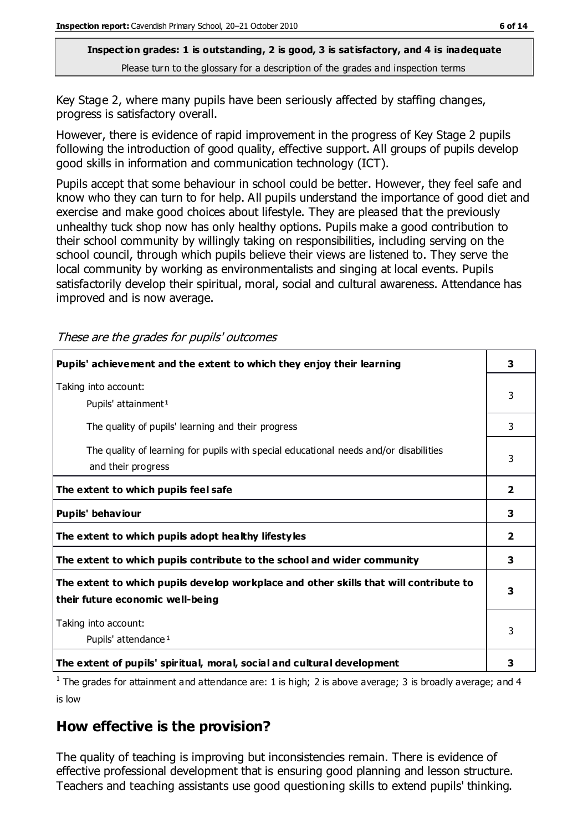Key Stage 2, where many pupils have been seriously affected by staffing changes, progress is satisfactory overall.

However, there is evidence of rapid improvement in the progress of Key Stage 2 pupils following the introduction of good quality, effective support. All groups of pupils develop good skills in information and communication technology (ICT).

Pupils accept that some behaviour in school could be better. However, they feel safe and know who they can turn to for help. All pupils understand the importance of good diet and exercise and make good choices about lifestyle. They are pleased that the previously unhealthy tuck shop now has only healthy options. Pupils make a good contribution to their school community by willingly taking on responsibilities, including serving on the school council, through which pupils believe their views are listened to. They serve the local community by working as environmentalists and singing at local events. Pupils satisfactorily develop their spiritual, moral, social and cultural awareness. Attendance has improved and is now average.

These are the grades for pupils' outcomes

| Pupils' achievement and the extent to which they enjoy their learning                                                     | 3                       |
|---------------------------------------------------------------------------------------------------------------------------|-------------------------|
| Taking into account:<br>Pupils' attainment <sup>1</sup>                                                                   | 3                       |
| The quality of pupils' learning and their progress                                                                        | 3                       |
| The quality of learning for pupils with special educational needs and/or disabilities<br>and their progress               | 3                       |
| The extent to which pupils feel safe                                                                                      | $\overline{2}$          |
| Pupils' behaviour                                                                                                         | 3                       |
| The extent to which pupils adopt healthy lifestyles                                                                       | $\overline{\mathbf{2}}$ |
| The extent to which pupils contribute to the school and wider community                                                   |                         |
| The extent to which pupils develop workplace and other skills that will contribute to<br>their future economic well-being |                         |
| Taking into account:<br>Pupils' attendance <sup>1</sup>                                                                   | 3                       |
| The extent of pupils' spiritual, moral, social and cultural development                                                   | 3                       |

<sup>1</sup> The grades for attainment and attendance are: 1 is high; 2 is above average; 3 is broadly average; and 4 is low

# **How effective is the provision?**

The quality of teaching is improving but inconsistencies remain. There is evidence of effective professional development that is ensuring good planning and lesson structure. Teachers and teaching assistants use good questioning skills to extend pupils' thinking.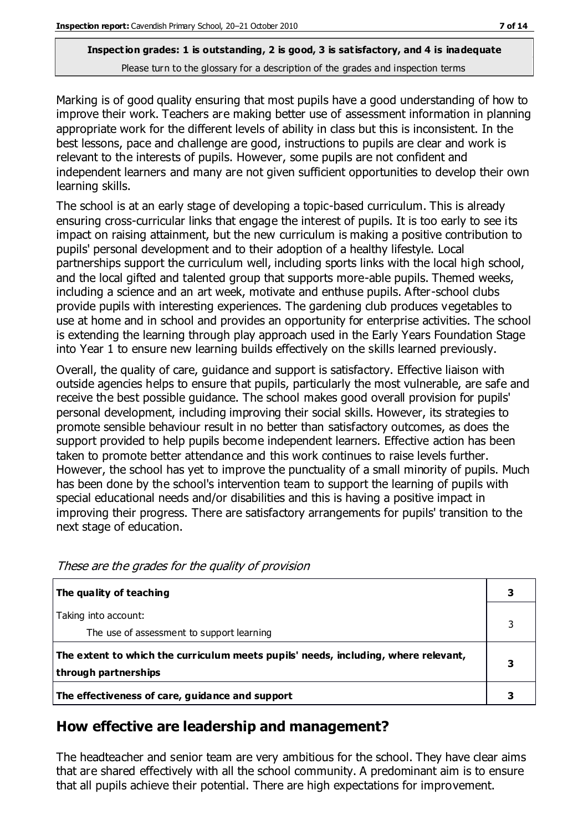Marking is of good quality ensuring that most pupils have a good understanding of how to improve their work. Teachers are making better use of assessment information in planning appropriate work for the different levels of ability in class but this is inconsistent. In the best lessons, pace and challenge are good, instructions to pupils are clear and work is relevant to the interests of pupils. However, some pupils are not confident and independent learners and many are not given sufficient opportunities to develop their own learning skills.

The school is at an early stage of developing a topic-based curriculum. This is already ensuring cross-curricular links that engage the interest of pupils. It is too early to see its impact on raising attainment, but the new curriculum is making a positive contribution to pupils' personal development and to their adoption of a healthy lifestyle. Local partnerships support the curriculum well, including sports links with the local high school, and the local gifted and talented group that supports more-able pupils. Themed weeks, including a science and an art week, motivate and enthuse pupils. After-school clubs provide pupils with interesting experiences. The gardening club produces vegetables to use at home and in school and provides an opportunity for enterprise activities. The school is extending the learning through play approach used in the Early Years Foundation Stage into Year 1 to ensure new learning builds effectively on the skills learned previously.

Overall, the quality of care, guidance and support is satisfactory. Effective liaison with outside agencies helps to ensure that pupils, particularly the most vulnerable, are safe and receive the best possible guidance. The school makes good overall provision for pupils' personal development, including improving their social skills. However, its strategies to promote sensible behaviour result in no better than satisfactory outcomes, as does the support provided to help pupils become independent learners. Effective action has been taken to promote better attendance and this work continues to raise levels further. However, the school has yet to improve the punctuality of a small minority of pupils. Much has been done by the school's intervention team to support the learning of pupils with special educational needs and/or disabilities and this is having a positive impact in improving their progress. There are satisfactory arrangements for pupils' transition to the next stage of education.

| The quality of teaching                                                                                    |   |
|------------------------------------------------------------------------------------------------------------|---|
| Taking into account:<br>The use of assessment to support learning                                          |   |
| The extent to which the curriculum meets pupils' needs, including, where relevant,<br>through partnerships | 3 |
| The effectiveness of care, guidance and support                                                            |   |

These are the grades for the quality of provision

# **How effective are leadership and management?**

The headteacher and senior team are very ambitious for the school. They have clear aims that are shared effectively with all the school community. A predominant aim is to ensure that all pupils achieve their potential. There are high expectations for improvement.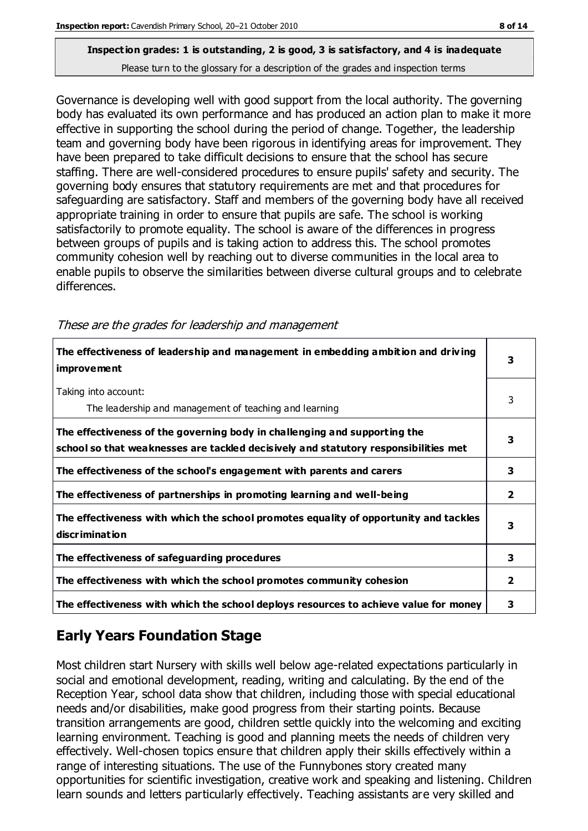Governance is developing well with good support from the local authority. The governing body has evaluated its own performance and has produced an action plan to make it more effective in supporting the school during the period of change. Together, the leadership team and governing body have been rigorous in identifying areas for improvement. They have been prepared to take difficult decisions to ensure that the school has secure staffing. There are well-considered procedures to ensure pupils' safety and security. The governing body ensures that statutory requirements are met and that procedures for safeguarding are satisfactory. Staff and members of the governing body have all received appropriate training in order to ensure that pupils are safe. The school is working satisfactorily to promote equality. The school is aware of the differences in progress between groups of pupils and is taking action to address this. The school promotes community cohesion well by reaching out to diverse communities in the local area to enable pupils to observe the similarities between diverse cultural groups and to celebrate differences.

**The effectiveness of leadership and management in embedding ambition and driv ing improvement 3** Taking into account: The leadership and management of teaching and learning 3 **The effectiveness of the governing body in challenging and supporting the school so that weaknesses are tackled decisively and statutory responsibilities met 3 The effectiveness of the school's engagement with parents and carers 3 The effectiveness of partnerships in promoting learning and well-being 2 The effectiveness with which the school promotes equality of opportunity and tackles discrimination 3 The effectiveness of safeguarding procedures 3 The effectiveness with which the school promotes community cohesion 2 The effectiveness with which the school deploys resources to achieve value for money 3**

These are the grades for leadership and management

# **Early Years Foundation Stage**

Most children start Nursery with skills well below age-related expectations particularly in social and emotional development, reading, writing and calculating. By the end of the Reception Year, school data show that children, including those with special educational needs and/or disabilities, make good progress from their starting points. Because transition arrangements are good, children settle quickly into the welcoming and exciting learning environment. Teaching is good and planning meets the needs of children very effectively. Well-chosen topics ensure that children apply their skills effectively within a range of interesting situations. The use of the Funnybones story created many opportunities for scientific investigation, creative work and speaking and listening. Children learn sounds and letters particularly effectively. Teaching assistants are very skilled and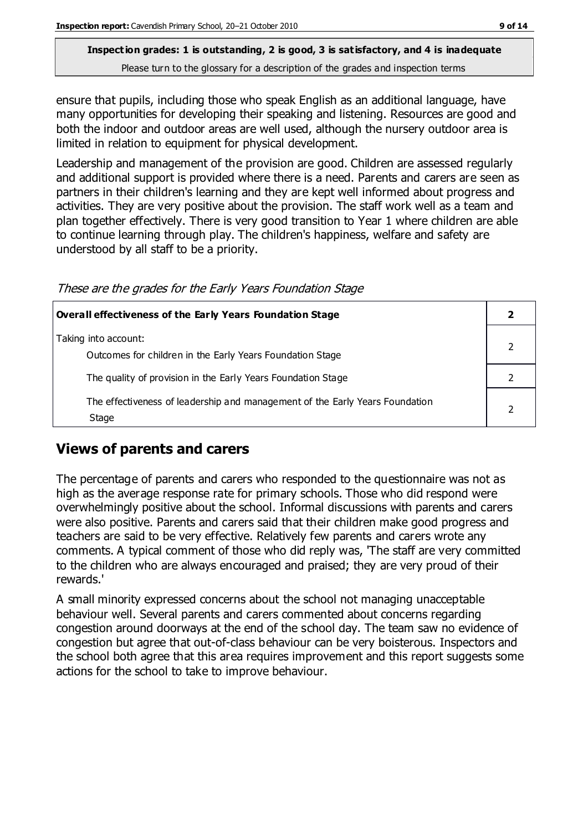ensure that pupils, including those who speak English as an additional language, have many opportunities for developing their speaking and listening. Resources are good and both the indoor and outdoor areas are well used, although the nursery outdoor area is limited in relation to equipment for physical development.

Leadership and management of the provision are good. Children are assessed regularly and additional support is provided where there is a need. Parents and carers are seen as partners in their children's learning and they are kept well informed about progress and activities. They are very positive about the provision. The staff work well as a team and plan together effectively. There is very good transition to Year 1 where children are able to continue learning through play. The children's happiness, welfare and safety are understood by all staff to be a priority.

| These are the grades for the Early Years Foundation Stage |  |  |  |
|-----------------------------------------------------------|--|--|--|
|                                                           |  |  |  |

| <b>Overall effectiveness of the Early Years Foundation Stage</b>                      |  |  |
|---------------------------------------------------------------------------------------|--|--|
| Taking into account:<br>Outcomes for children in the Early Years Foundation Stage     |  |  |
| The quality of provision in the Early Years Foundation Stage                          |  |  |
| The effectiveness of leadership and management of the Early Years Foundation<br>Stage |  |  |

# **Views of parents and carers**

The percentage of parents and carers who responded to the questionnaire was not as high as the average response rate for primary schools. Those who did respond were overwhelmingly positive about the school. Informal discussions with parents and carers were also positive. Parents and carers said that their children make good progress and teachers are said to be very effective. Relatively few parents and carers wrote any comments. A typical comment of those who did reply was, 'The staff are very committed to the children who are always encouraged and praised; they are very proud of their rewards.'

A small minority expressed concerns about the school not managing unacceptable behaviour well. Several parents and carers commented about concerns regarding congestion around doorways at the end of the school day. The team saw no evidence of congestion but agree that out-of-class behaviour can be very boisterous. Inspectors and the school both agree that this area requires improvement and this report suggests some actions for the school to take to improve behaviour.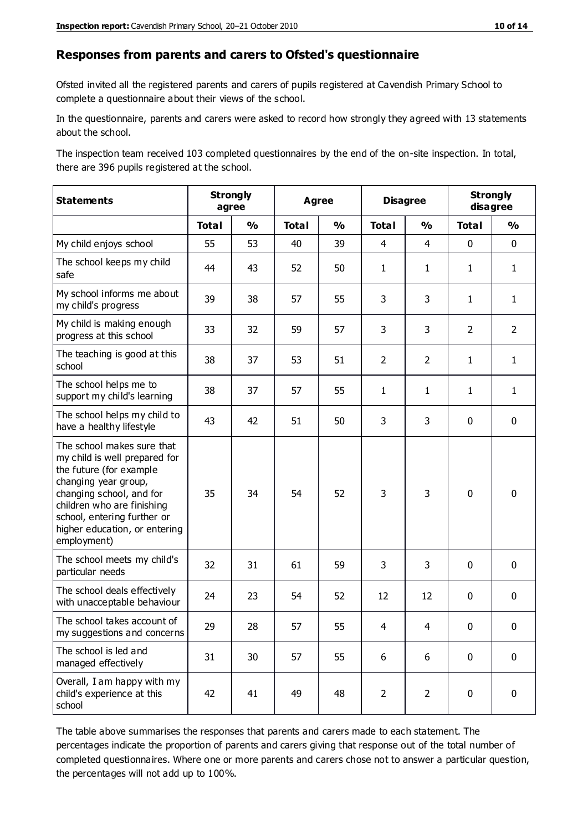#### **Responses from parents and carers to Ofsted's questionnaire**

Ofsted invited all the registered parents and carers of pupils registered at Cavendish Primary School to complete a questionnaire about their views of the school.

In the questionnaire, parents and carers were asked to record how strongly they agreed with 13 statements about the school.

The inspection team received 103 completed questionnaires by the end of the on-site inspection. In total, there are 396 pupils registered at the school.

| <b>Statements</b>                                                                                                                                                                                                                                       |              | <b>Strongly</b><br>Agree<br>agree |              |               | <b>Disagree</b> |                | <b>Strongly</b><br>disagree |                |
|---------------------------------------------------------------------------------------------------------------------------------------------------------------------------------------------------------------------------------------------------------|--------------|-----------------------------------|--------------|---------------|-----------------|----------------|-----------------------------|----------------|
|                                                                                                                                                                                                                                                         | <b>Total</b> | $\frac{1}{2}$                     | <b>Total</b> | $\frac{1}{2}$ | <b>Total</b>    | $\frac{0}{0}$  | <b>Total</b>                | $\frac{0}{0}$  |
| My child enjoys school                                                                                                                                                                                                                                  | 55           | 53                                | 40           | 39            | $\overline{4}$  | $\overline{4}$ | $\mathbf 0$                 | $\mathbf 0$    |
| The school keeps my child<br>safe                                                                                                                                                                                                                       | 44           | 43                                | 52           | 50            | $\mathbf{1}$    | $\mathbf{1}$   | $\mathbf{1}$                | $\mathbf{1}$   |
| My school informs me about<br>my child's progress                                                                                                                                                                                                       | 39           | 38                                | 57           | 55            | 3               | 3              | $\mathbf{1}$                | $\mathbf{1}$   |
| My child is making enough<br>progress at this school                                                                                                                                                                                                    | 33           | 32                                | 59           | 57            | 3               | 3              | $\overline{2}$              | $\overline{2}$ |
| The teaching is good at this<br>school                                                                                                                                                                                                                  | 38           | 37                                | 53           | 51            | $\overline{2}$  | $\overline{2}$ | $\mathbf{1}$                | $\mathbf{1}$   |
| The school helps me to<br>support my child's learning                                                                                                                                                                                                   | 38           | 37                                | 57           | 55            | $\mathbf{1}$    | 1              | $\mathbf{1}$                | $\mathbf{1}$   |
| The school helps my child to<br>have a healthy lifestyle                                                                                                                                                                                                | 43           | 42                                | 51           | 50            | 3               | 3              | $\mathbf 0$                 | $\mathbf 0$    |
| The school makes sure that<br>my child is well prepared for<br>the future (for example<br>changing year group,<br>changing school, and for<br>children who are finishing<br>school, entering further or<br>higher education, or entering<br>employment) | 35           | 34                                | 54           | 52            | 3               | 3              | $\mathbf 0$                 | $\mathbf 0$    |
| The school meets my child's<br>particular needs                                                                                                                                                                                                         | 32           | 31                                | 61           | 59            | 3               | 3              | $\mathbf 0$                 | $\mathbf 0$    |
| The school deals effectively<br>with unacceptable behaviour                                                                                                                                                                                             | 24           | 23                                | 54           | 52            | 12              | 12             | $\mathbf 0$                 | $\mathbf 0$    |
| The school takes account of<br>my suggestions and concerns                                                                                                                                                                                              | 29           | 28                                | 57           | 55            | 4               | 4              | $\mathbf 0$                 | $\mathbf{0}$   |
| The school is led and<br>managed effectively                                                                                                                                                                                                            | 31           | 30                                | 57           | 55            | 6               | 6              | $\mathbf 0$                 | $\mathbf 0$    |
| Overall, I am happy with my<br>child's experience at this<br>school                                                                                                                                                                                     | 42           | 41                                | 49           | 48            | $\overline{2}$  | $\overline{2}$ | $\mathbf 0$                 | $\pmb{0}$      |

The table above summarises the responses that parents and carers made to each statement. The percentages indicate the proportion of parents and carers giving that response out of the total number of completed questionnaires. Where one or more parents and carers chose not to answer a particular question, the percentages will not add up to 100%.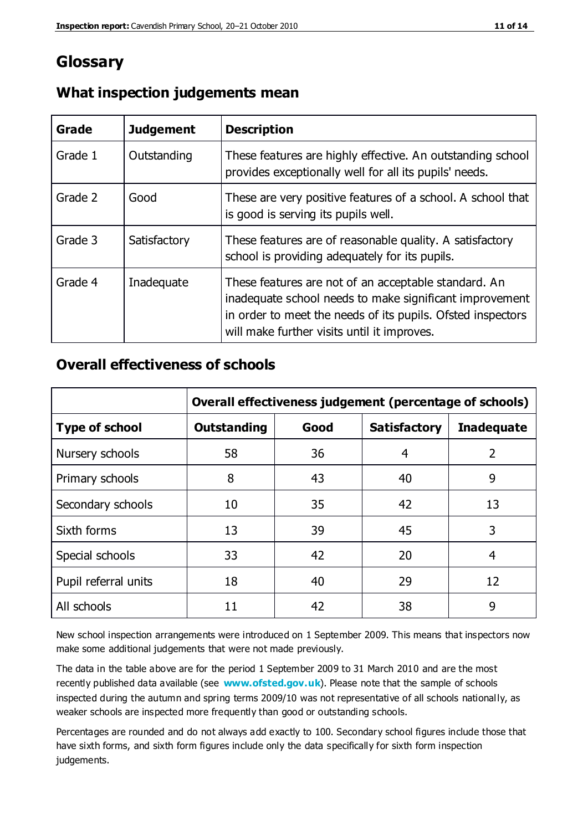# **Glossary**

| Grade   | <b>Judgement</b> | <b>Description</b>                                                                                                                                                                                                            |
|---------|------------------|-------------------------------------------------------------------------------------------------------------------------------------------------------------------------------------------------------------------------------|
| Grade 1 | Outstanding      | These features are highly effective. An outstanding school<br>provides exceptionally well for all its pupils' needs.                                                                                                          |
| Grade 2 | Good             | These are very positive features of a school. A school that<br>is good is serving its pupils well.                                                                                                                            |
| Grade 3 | Satisfactory     | These features are of reasonable quality. A satisfactory<br>school is providing adequately for its pupils.                                                                                                                    |
| Grade 4 | Inadequate       | These features are not of an acceptable standard. An<br>inadequate school needs to make significant improvement<br>in order to meet the needs of its pupils. Ofsted inspectors<br>will make further visits until it improves. |

# **What inspection judgements mean**

# **Overall effectiveness of schools**

|                       | Overall effectiveness judgement (percentage of schools) |      |                     |                   |
|-----------------------|---------------------------------------------------------|------|---------------------|-------------------|
| <b>Type of school</b> | <b>Outstanding</b>                                      | Good | <b>Satisfactory</b> | <b>Inadequate</b> |
| Nursery schools       | 58                                                      | 36   | 4                   | 2                 |
| Primary schools       | 8                                                       | 43   | 40                  | 9                 |
| Secondary schools     | 10                                                      | 35   | 42                  | 13                |
| Sixth forms           | 13                                                      | 39   | 45                  | 3                 |
| Special schools       | 33                                                      | 42   | 20                  | 4                 |
| Pupil referral units  | 18                                                      | 40   | 29                  | 12                |
| All schools           | 11                                                      | 42   | 38                  | 9                 |

New school inspection arrangements were introduced on 1 September 2009. This means that inspectors now make some additional judgements that were not made previously.

The data in the table above are for the period 1 September 2009 to 31 March 2010 and are the most recently published data available (see **[www.ofsted.gov.uk](http://www.ofsted.gov.uk/)**). Please note that the sample of schools inspected during the autumn and spring terms 2009/10 was not representative of all schools nationally, as weaker schools are inspected more frequently than good or outstanding schools.

Percentages are rounded and do not always add exactly to 100. Secondary school figures include those that have sixth forms, and sixth form figures include only the data specifically for sixth form inspection judgements.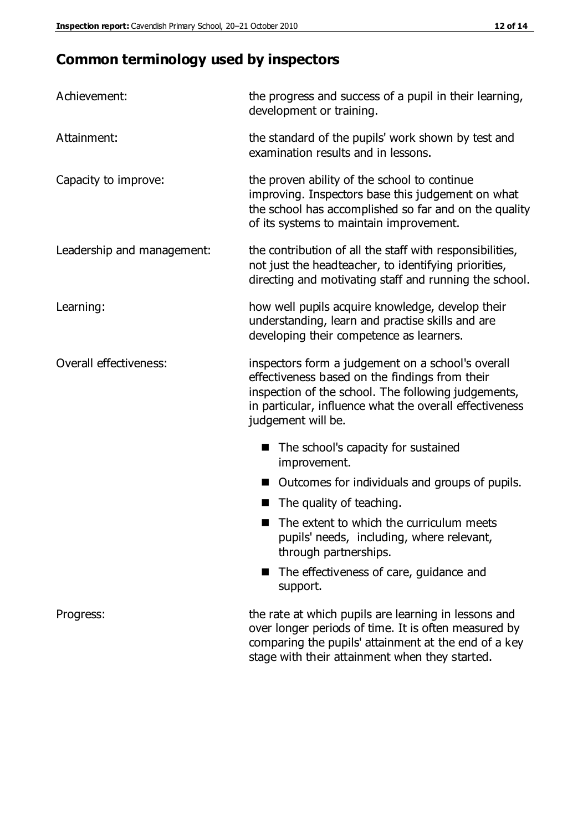# **Common terminology used by inspectors**

| Achievement:               | the progress and success of a pupil in their learning,<br>development or training.                                                                                                                                                          |  |  |
|----------------------------|---------------------------------------------------------------------------------------------------------------------------------------------------------------------------------------------------------------------------------------------|--|--|
| Attainment:                | the standard of the pupils' work shown by test and<br>examination results and in lessons.                                                                                                                                                   |  |  |
| Capacity to improve:       | the proven ability of the school to continue<br>improving. Inspectors base this judgement on what<br>the school has accomplished so far and on the quality<br>of its systems to maintain improvement.                                       |  |  |
| Leadership and management: | the contribution of all the staff with responsibilities,<br>not just the headteacher, to identifying priorities,<br>directing and motivating staff and running the school.                                                                  |  |  |
| Learning:                  | how well pupils acquire knowledge, develop their<br>understanding, learn and practise skills and are<br>developing their competence as learners.                                                                                            |  |  |
| Overall effectiveness:     | inspectors form a judgement on a school's overall<br>effectiveness based on the findings from their<br>inspection of the school. The following judgements,<br>in particular, influence what the overall effectiveness<br>judgement will be. |  |  |
|                            | The school's capacity for sustained<br>improvement.                                                                                                                                                                                         |  |  |
|                            | Outcomes for individuals and groups of pupils.                                                                                                                                                                                              |  |  |
|                            | The quality of teaching.                                                                                                                                                                                                                    |  |  |
|                            | The extent to which the curriculum meets<br>pupils' needs, including, where relevant,<br>through partnerships.                                                                                                                              |  |  |
|                            | The effectiveness of care, guidance and<br>support.                                                                                                                                                                                         |  |  |
| Progress:                  | the rate at which pupils are learning in lessons and<br>over longer periods of time. It is often measured by<br>comparing the pupils' attainment at the end of a key                                                                        |  |  |

stage with their attainment when they started.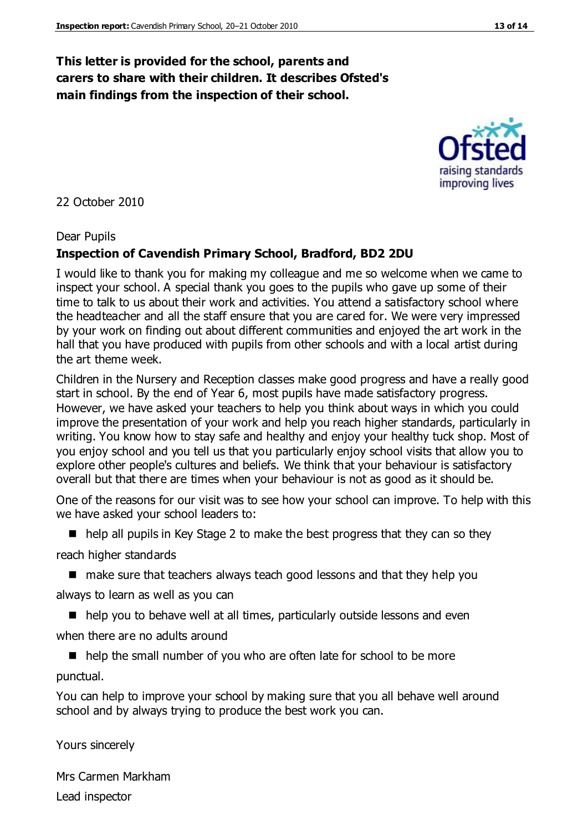# **This letter is provided for the school, parents and carers to share with their children. It describes Ofsted's main findings from the inspection of their school.**

#### 22 October 2010

#### Dear Pupils

#### **Inspection of Cavendish Primary School, Bradford, BD2 2DU**

I would like to thank you for making my colleague and me so welcome when we came to inspect your school. A special thank you goes to the pupils who gave up some of their time to talk to us about their work and activities. You attend a satisfactory school where the headteacher and all the staff ensure that you are cared for. We were very impressed by your work on finding out about different communities and enjoyed the art work in the hall that you have produced with pupils from other schools and with a local artist during the art theme week.

Children in the Nursery and Reception classes make good progress and have a really good start in school. By the end of Year 6, most pupils have made satisfactory progress. However, we have asked your teachers to help you think about ways in which you could improve the presentation of your work and help you reach higher standards, particularly in writing. You know how to stay safe and healthy and enjoy your healthy tuck shop. Most of you enjoy school and you tell us that you particularly enjoy school visits that allow you to explore other people's cultures and beliefs. We think that your behaviour is satisfactory overall but that there are times when your behaviour is not as good as it should be.

One of the reasons for our visit was to see how your school can improve. To help with this we have asked your school leaders to:

■ help all pupils in Key Stage 2 to make the best progress that they can so they

reach higher standards

■ make sure that teachers always teach good lessons and that they help you

always to learn as well as you can

■ help you to behave well at all times, particularly outside lessons and even

when there are no adults around

 $\blacksquare$  help the small number of you who are often late for school to be more punctual.

You can help to improve your school by making sure that you all behave well around school and by always trying to produce the best work you can.

Yours sincerely

Mrs Carmen Markham Lead inspector